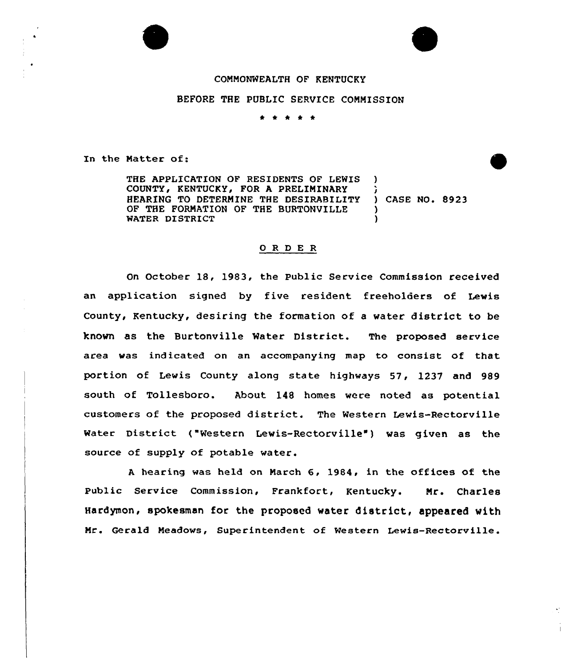## COMMONWEALTH OF KENTUCKY

## BEFORE THE PUBLIC SERVICE COMMISSION

\* <sup>4</sup> \* \*

In the Natter of:

THE APPLICATION OF RESIDENTS OF LEWIS COUNTY, KENTUCKY, FOR A PRELIMINARY HEARING TO DETERMINE THE DESIRABILITY OF THE FORMATION OF THE BURTONVILLE WATER DISTRICT ) ) CASE NO. 8923 ) )

## 0 R <sup>D</sup> E R

On October 18, 1983, the Public Service Commission received an application signed by five resident freeholders of Lewis County, Kentucky, desiring the formation of <sup>a</sup> water district to be known as the Burtonville Water District. The proposed service area was indicated on an accompanying map to consist of that portion of Lewis County along state highways 57, 1237 and 989 south of Tollesboro. About 148 homes were noted as potential customers of the proposed district. The Western Lewis-Rectorville Water District ("Western Lewis-Rectorville") was given as the source of supply of potable water.

A hearing was held on March 6, 1984, in the offices of the Public Service Commission, Frankfort, Kentucky. Mr. Charles Hardymon, spokesman for the proposed water district, appeared with Mr. Gerald Meadows, Superintendent of Western Lewis-Rectorville.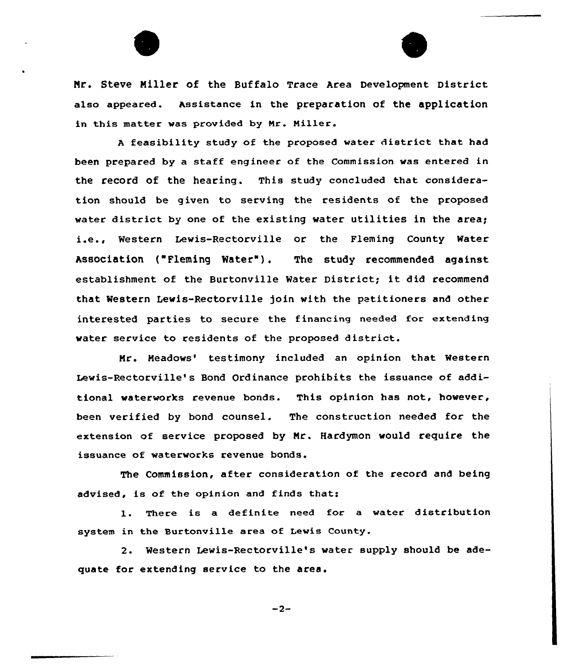Nr. Steve Miller of the Buffalo Trace Area Development District also appeared. Assistance in the preparation of the application in this matter was provided by Nr. Miller.

<sup>A</sup> feasibility study of the proposed water district that had been prepared by a staff engineer of the Commission was entered in the record of the hearing. This study concluded that consideration should be given to serving the residents of the proposed water district by one of the existing water utilities in the area; i.e., Western Lewis-Rectorville or the Fleming County Water Association ("Fleming Water"). The study recommended against establishment of the Burtonville Water District; it did recommend that Western Lewis-Rectorville join with the petitioners and other interested parties to secure the financing needed for extending water service to residents of the proposed district.

Mr. Meadows' testimony included an opinion that Western Lewis-Rectorville's Bond Ordinance prohibits the issuance of additional waterworks revenue bonds. This opinion has not, however, been verified by bond counsel. The construction needed for the extension of service proposed by Mr. Hardymon would require the issuance of waterworks revenue bonds.

The Commission, after consideration of the record and being advised, is of the opinion and finds that:

1. There is <sup>a</sup> definite need for <sup>a</sup> water distribution system in the Surtonville area of Lewis County.

2. Western Lewis-Rectorville's water supply should be adequate for extending service to the area.

 $-2-$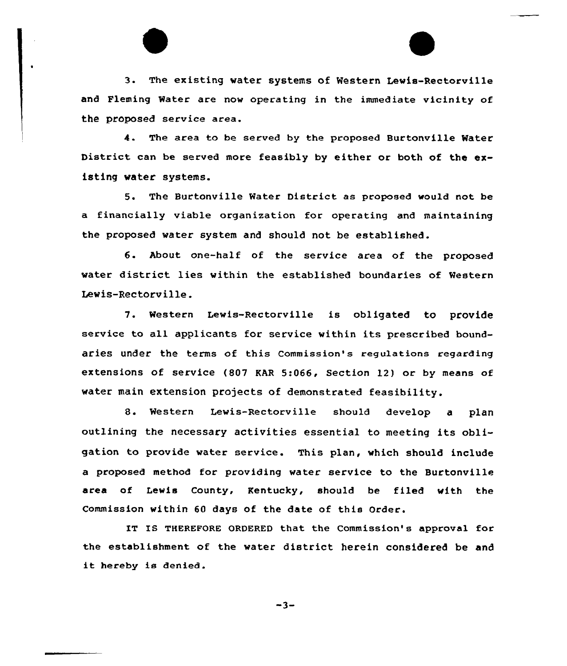3. The existing water systems of Western Lewis-Rectorville and Fleming Water are now operating in the immediate vicinity of the proposed service area.

4. The area to be served by the proposed Burtonville Water District can be served more feasibly by either or both of the existing water systems.

5. The Burtonville Water District as proposed would not be a financially viable organization for operating and maintaining the proposed water system and should not be established.

6. About one-half of the service area of the proposed water district lies within the established boundaries of Western Lewis-Rectorville.

7. Western Lewis-Rectorville is obligated to provide service to all applicants for service within its prescribed boundaries under the terms of this commission's regulations regarding extensions of service (807 KAR 5:066, Section 12) or by means of water main extension projects of demonstrated feasibility.

8. Western Lewis-Rectorville should develop <sup>a</sup> plan outlining the necessary activities essential to meeting its obligation to provide water service. This plan, which should include a proposed method for providing water service to the Burtonville area of Lewis County, Kentucky, should be filed with the Commission within 60 days of the date of this Order.

IT IS THEREFORE ORDERED that the Commission's approval for the establishment of the water district herein considered be and it hereby is denied.

 $-3-$